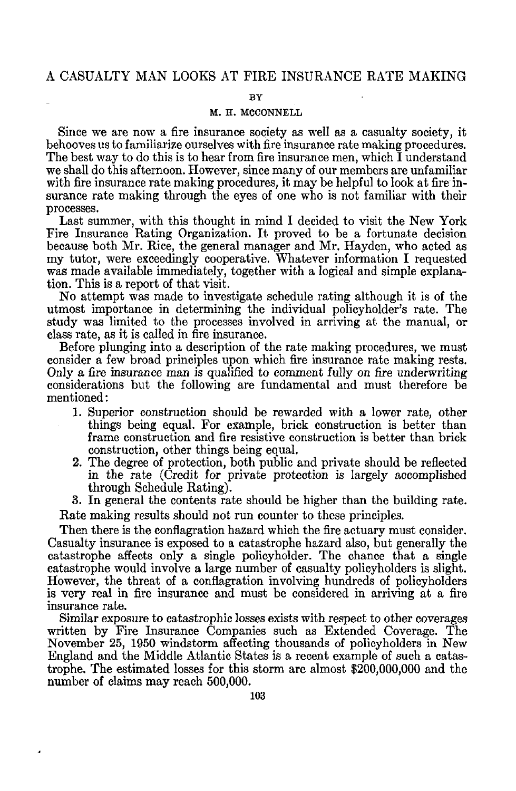### A CASUALTY MAN LOOKS AT FIRE INSURANCE RATE MAKING

#### **BY**

#### M. H. MCCONNELL

Since we are now a fire insurance society as well as a casualty society, it behooves us to familiarize ourselves with fire insurance rate making procedures. The best way to do this is to hear from fire insurance men, which I understand we shall do this afternoon. However, since many of our members are unfamiliar with fire insurance rate making procedures, it may be helpful to look at fire insurance rate making through the eyes of one who is not familiar with their processes.

Last summer, with this thought in mind I decided to visit the New York Fire Insurance Rating Organization. It proved to be a fortunate decision because both Mr. Rice, the general manager and Mr. Hayden, who acted as my tutor, were exceedingly cooperative. Whatever information I requested was made available immediately, together with a logical and simple explanation. This is a report of that visit.

No attempt was made to investigate schedule rating although it is of the utmost importance in determining the individual policyholder's rate. The study was limited to the processes involved in arriving at the manual, or class rate, as it is called in fire insurance.

Before plunging into a description of the rate making procedures, we must consider a few broad principles upon which fire insurance rate making rests. Only a fire insurance man is qualified to comment fully on fire underwriting considerations but the following are fundamental and must therefore be mentioned:

- 1. Superior construction should be rewarded with a lower rate, other things being equal. For example, brick construction is better than frame construction and fire resistive construction is better than brick construction, other things being equal.
- 2. The degree of protection, both public and private should be reflected in the rate (Credit for private protection is largely accomplished through Schedule Rating).

3. In general the contents rate should be higher than the building rate.

Rate making results should not run counter to these principles.

Then there is the conflagration hazard which the fire actuary must consider. Casualty insurance is exposed to a catastrophe hazard also, but generally the catastrophe affects only a single policyholder. The chance that a single catastrophe would involve a large number of casualty policyholders is slight. However, the threat of a conflagration involving hundreds of policyholders is very real in fire insurance and must be considered in arriving at a fire insurance rate.

Similar exposure to catastrophic losses exists with respect to other coverages written by Fire Insurance Companies such as Extended Coverage. The November 25, 1950 windstorm affecting thousands of policyholders in New England and the Middle Atlantic States is a recent example of such a catastrophe. The estimated losses for this storm are almost \$200,000,000 and the number of claims may reach 500,000.

è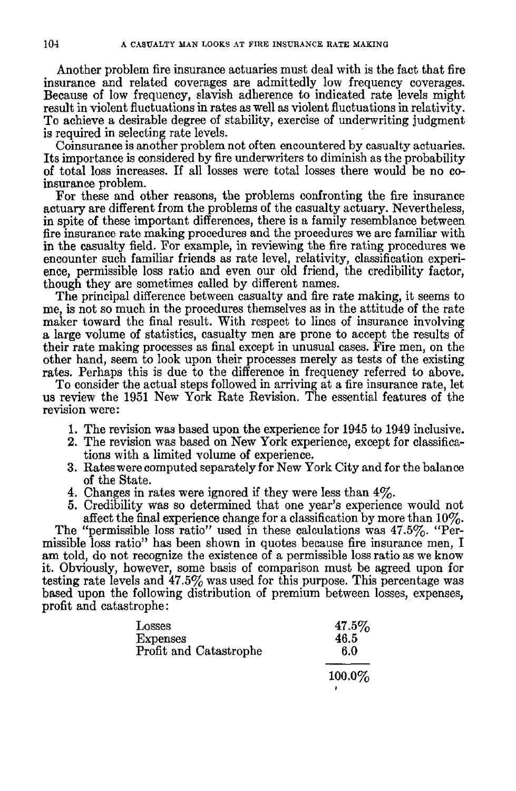Another problem fire insurance actuaries must deal with is the fact that fire insurance and related coverages are admittedly low frequency coverages. Because of low frequency, slavish adherence to indicated rate levels might result in violent fluctuations in rates as well as violent fluctuations in relativity. To achieve a desirable degree of stability, exercise of underwriting judgment is required in selecting rate levels.

Coinsurance is another problem not often encountered by casualty actuaries. Its importance is considered by fire underwriters to diminish as the probability of total loss increases. If all losses were total losses there would be no coinsurance problem.

For these and other reasons, the problems confronting the fire insurance actuary are different from the problems of the casualty actuary. Nevertheless, in spite of these important differences, there is a family resemblance between fire insurance rate making procedures and the procedures we are familiar with in the casualty field. For example, in reviewing the fire rating procedures we encounter such familiar friends as rate level, relativity, classification experience, permissible loss ratio and even our old friend, the credibility factor, though they are sometimes called by different names.

The principal difference between casualty and fire rate making, it seems to me, is not so much in the procedures themselves as in the attitude of the rate maker toward the final result. With respect to lines of insurance involving a large volume of statistics, casualty men are prone to accept the results of their rate making processes as final except in unusual cases. Fire men, on the other hand, seem to look upon their processes merely as tests of the existing rates. Perhaps this is due to the difference in frequency referred to above.

To consider the actual steps followed in arriving at a fire insurance rate, let us review the 1951 New York Rate Revision. The essential features of the revision were:

- 1. The revision was based upon the experience for 1945 to 1949 inclusive.
- 2. The revision was based on New York experience, except for classifications with a limited volume of experience.
- 3. Rateswere computed separately for New York City and for the balance of the State.
- 4. Changes in rates were ignored if they were less than 4%.
- 5. Credibility was so determined that one year's experience would not affect the final experience change for a classification by more than  $10\%$ .

The "permissible loss ratio" used in these calculations was 47.5%. "Permissible loss ratio" has been shown in quotes because fire insurance men, I am told, do not recognize the existence of a permissible loss ratio as we know it. Obviously, however, some basis of comparison must be agreed upon for testing rate levels and  $47.5\%$  was used for this purpose. This percentage was based upon the following distribution of premium between losses, expenses, profit and catastrophe:

| Losses<br><b>Expenses</b> | $47.5\%$<br>46.5 |
|---------------------------|------------------|
| Profit and Catastrophe    | 6.0              |
|                           | $100.0\%$        |
|                           |                  |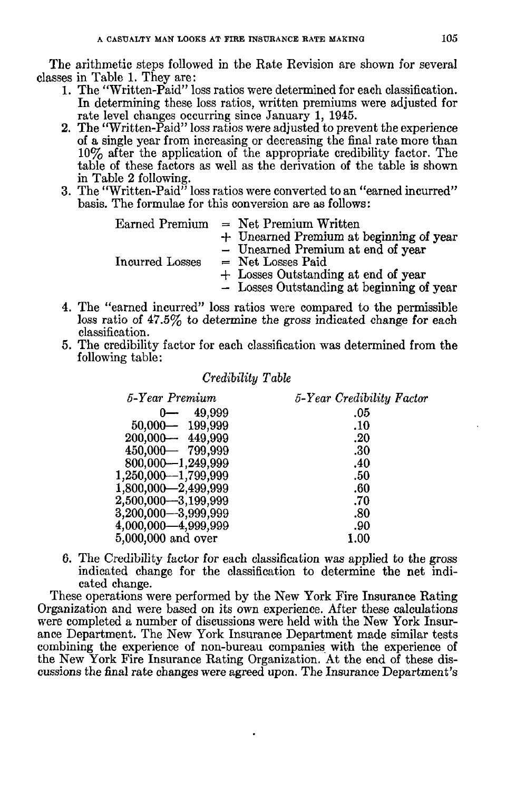The arithmetic steps followed in the Rate Revision are shown for several classes in Table 1. They are:

- 1. The "Written-Paid" loss ratios were determined for each classification. In determining these loss ratios, written premiums were adjusted for rate level changes occurring since January 1, 1945.
- 2. The "Written-Paid" loss ratios were adjusted to prevent the experience of a single year from increasing or decreasing the final rate more than 10% after the application of the appropriate credibility factor. The table of these factors as well as the derivation of the table is shown in Table 2 following.
- 3. The "Written-Paid" loss ratios were converted to an "earned incurred" basis. The formulae for this conversion are as follows:

| Earned Premium  | $=$ Net Premium Written                   |
|-----------------|-------------------------------------------|
|                 | + Unearned Premium at beginning of year   |
|                 | - Unearned Premium at end of year         |
| Incurred Losses | $=$ Net Losses Paid                       |
|                 | + Losses Outstanding at end of year       |
|                 | - Losses Outstanding at beginning of year |

- 4. The "earned incurred" loss ratios were compared to the permissible loss ratio of 47.5% to determine the gross indicated change for each classification.
- 5. The credibility factor for each classification was determined from the following table:

#### *Credibility Table*

| 5-Year Premium        | 5-Year Credibility Factor |
|-----------------------|---------------------------|
| 49,999                | .05                       |
| 50,000 - 199,999      | .10                       |
| 200,000-449,999       | .20                       |
| 450,000 - 799,999     | .30                       |
| 800,000-1,249,999     | .40                       |
| 1,250,000 - 1,799,999 | .50                       |
| 1,800,000 - 2,499,999 | .60                       |
| 2,500,000 - 3,199,999 | .70                       |
| 3,200,000 - 3,999,999 | .80                       |
| 4,000,000 - 4,999,999 | .90                       |
| 5,000,000 and over    |                           |

6. The Credibility factor for each classification was applied to the gross indicated change for the classification to determine the net indicated change.

These operations were performed by the New York Fire Insurance Rating Organization and were based on its own experience. After these calculations were completed a number of discussions were held with the New York Insurance Department. The New York Insurance Department made similar tests combining the experience of non-bureau companies with the experience of the New York Fire Insurance Rating Organization. At the end of these discussions the final rate changes were agreed upon. The Insurance Department's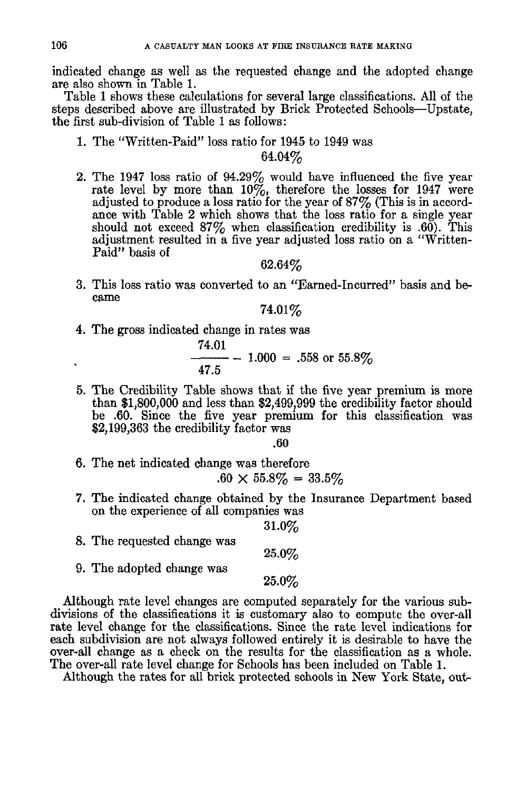indicated change as well as the requested change and the adopted change are also shown in Table 1.

Table 1 shows these calculations for several large classifications. All of the steps described above are illustrated by Brick Protected Schools--Upstate, the first sub-division of Table 1 as follows:

1. The *"Written-Paid"* loss ratio for 1945 to 1949 was

## 64.04%

2. The 1947 loss ratio of 94.29% would have influenced the five year rate level by more than  $10\%$ , therefore the losses for 1947 were adjusted to produce a loss ratio for the year of 87 $\%$  (This is in accordance with Table 2 which shows that the loss ratio for a single year should not exceed  $87\%$  when classification credibility is .60). This adjustment resulted in a five year adjusted loss ratio on a "Written-Paid" basis of

62.64%

3. This loss ratio was converted to an "Earned-Incurred" basis and became

**74.01%** 

4. The gross indicated change in rates was

74.01  $-$  1.000 = .558 or 55.8% 47.5

5. The Credibility Table shows that if the five year premium is more than \$1,800,000 and less than \$2,499,999 the credibility factor should be .60. Since the five year premium for this classification was \$2,199,363 the credibility factor was

.60

- 6. The net indicated change was therefore  $.60 \times 55.8\% = 33.5\%$
- 7. The indicated change obtained by the Insurance Department based on the experience of all companies was

**31.0%** 

**25.0%** 

- 8. The requested change was **25.0%**
- 9. The adopted change was

Although rate level changes are computed separately for the various subdivisions of the classifications it is customary also to compute the over-all rate level change for the classifications. Since the rate level indications for each subdivision are not always followed entirely it is desirable to have the over-all change as a check on the results for the classification as a whole. The over-all rate level change for Schools has been included on Table 1.

Although the rates for all brick protected schools in New York State, out-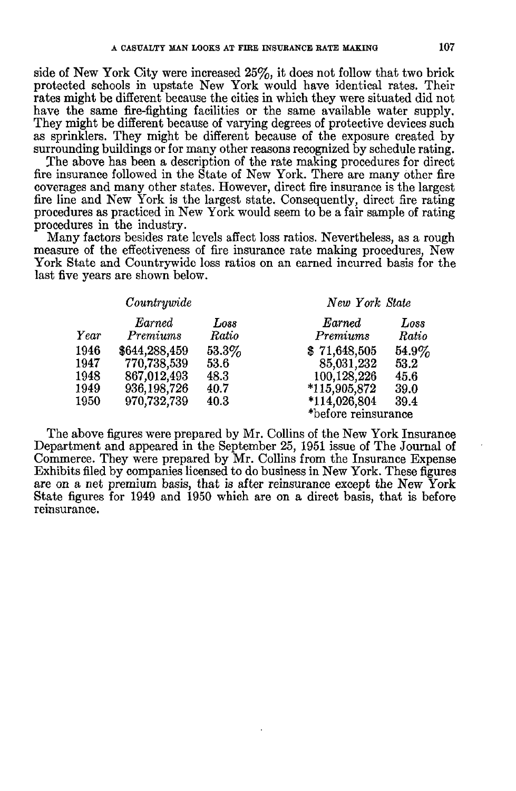side of New York City were increased 25%, it does not follow that two brick protected schools in upstate New York would have identical rates. Their rates might be different because the cities in which they were situated did not have the same fire-fighting facilities or the same available water supply. They might be different because of varying degrees of protective devices such as sprinklers. They might be different because of the exposure created by surrounding buildings or for many other reasons recognized by schedule rating.

The above has been a description of the rate making procedures for direct fire insurance followed in the State of New York. There are many other fire coverages and many other states. However, direct fire insurance is the largest fire line and New York is the largest state. Consequently, direct fire rating procedures as practiced in New York would seem to be a fair sample of rating procedures in the industry.

Many factors besides rate levels affect loss ratios. Nevertheless, as a rough measure of the effectiveness of fire insurance rate making procedures, New York State and Countrywide loss ratios on an earned incurred basis for the last five years are shown below.

|                                      | Countrywide                                                                 |                                          | New York State                                                                                     |                                          |  |  |  |
|--------------------------------------|-----------------------------------------------------------------------------|------------------------------------------|----------------------------------------------------------------------------------------------------|------------------------------------------|--|--|--|
| $\it Year$                           | Earned<br>Premiums                                                          | Loss<br>Ratio                            | Earned<br>Premiums                                                                                 | Loss<br>Ratio                            |  |  |  |
| 1946<br>1947<br>1948<br>1949<br>1950 | \$644,288,459<br>770,738,539<br>867,012,493<br>936, 198, 726<br>970,732,739 | $53.3\%$<br>53.6<br>48.3<br>40.7<br>40.3 | \$71,648,505<br>85,031,232<br>100,128,226<br>$*115,905,872$<br>*114,026,804<br>*before reinsurance | $54.9\%$<br>53.2<br>45.6<br>39.0<br>39.4 |  |  |  |

The above figures were prepared by Mr. Collins of the New York Insurance Department and appeared in the September 25, 1951 issue of The Journal of Commerce. They were prepared by Mr. Collins from the Insurance Expense Exhibits filed by companies licensed to do business in New York. These figures are on a net premium basis, that is after reinsurance except the New York State figures for 1949 and 1950 which are on a direct basis, that is before reinsurance.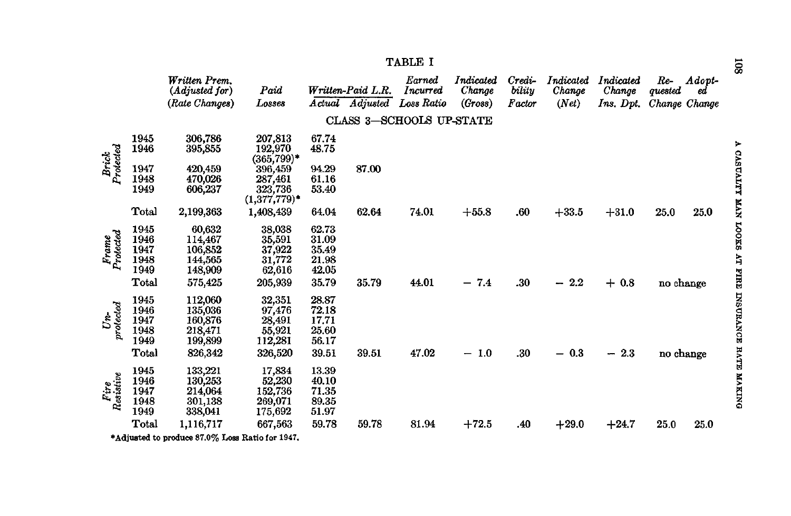|                        |                                               | Written Prem.<br>(Adjusted for)<br>(Rate Changes)                | Paid<br>Losses                                               | Actual                                             | Written-Paid L.R.<br>Adjusted | Earned<br>Incurred<br>Loss Ratio | Indicated<br>Change<br>(Gross) | Credi-<br>biluy<br>Factor | Indicated<br>Change<br>(Net) | Indicated<br>Change<br>Ins. Dpt. | Re-<br>quested<br>Change Change | Adopt-<br>ed |
|------------------------|-----------------------------------------------|------------------------------------------------------------------|--------------------------------------------------------------|----------------------------------------------------|-------------------------------|----------------------------------|--------------------------------|---------------------------|------------------------------|----------------------------------|---------------------------------|--------------|
|                        |                                               |                                                                  |                                                              |                                                    |                               | CLASS 3-SCHOOLS UP-STATE         |                                |                           |                              |                                  |                                 |              |
|                        | 1945<br>1946                                  | 306,786<br>395,855                                               | 207,813<br>192,970<br>$(365, 799)^*$                         | 67.74<br>48.75                                     |                               |                                  |                                |                           |                              |                                  |                                 |              |
| Brick<br>Protected     | 1947<br>1948<br>1949                          | 420,459<br>470,026<br>606,237                                    | 396,459<br>287,461<br>323,736<br>$(1,377,779)$ *             | 94.29<br>61.16<br>53.40                            | 87.00                         |                                  |                                |                           |                              |                                  |                                 |              |
|                        | Total                                         | 2,199,363                                                        | 1,408,439                                                    | 64.04                                              | 62.64                         | 74.01                            | $+55.8$                        | .60                       | $+33.5$                      | $+31.0$                          | 25.0                            | 25.0         |
| Frame<br>Protected     | 1945<br>1946<br>1947<br>1948<br>1949<br>Total | 60,632<br>114,467<br>106,852<br>144,565<br>148,909<br>575,425    | 38,038<br>35,591<br>37,922<br>31,772<br>62,616<br>205,939    | 62.73<br>31.09<br>35.49<br>21.98<br>42.05<br>35.79 | 35.79                         | 44.01                            | $-7.4$                         | .30                       | $-2.2$                       | $+0.8$                           | no change                       |              |
| $\frac{Un}{protected}$ | 1945<br>1946<br>1947<br>1948<br>1949<br>Total | 112,060<br>135,036<br>160,876<br>218,471<br>199,899<br>826,342   | 32,351<br>97,476<br>28,491<br>55,921<br>112,281<br>326,520   | 28.87<br>72.18<br>17.71<br>25.60<br>56.17<br>39.51 | 39.51                         | 47.02                            | $-1.0$                         | .30                       | $-0.3$                       | 2,3<br>-                         | no change                       |              |
| Fire<br>Resistive      | 1945<br>1946<br>1947<br>1948<br>1949<br>Total | 133,221<br>130,253<br>214,064<br>301,138<br>338,041<br>1,116,717 | 17,834<br>52,230<br>152,736<br>269,071<br>175,692<br>667,563 | 13.39<br>40.10<br>71.35<br>89.35<br>51.97<br>59.78 | 59.78                         | 81.94                            | $+72.5$                        | .40                       | $+29.0$                      | $+24.7$                          | 25.0                            | 25.0         |
|                        |                                               |                                                                  |                                                              |                                                    |                               |                                  |                                |                           |                              |                                  |                                 |              |

TABLE I

\*Adjusted to produce 87.0% Loss Ratio for 1947.

A CASUALTY MAN LOOKS AT FIRE INSURANCE RATE MAKING

**108**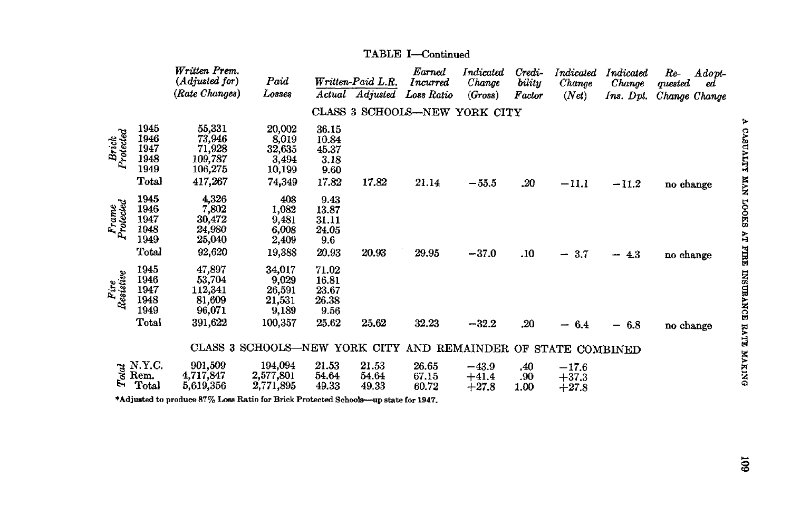|                    |                                                                                                                                                          | Written Prem.<br>(Adjusted for)<br>(Rate Changes)          | Paid<br>Losses                                                |                                                   | Written-Paid L.R.       | Earned<br>Incurred            | Indicated<br>Change           | Credi-<br>bility   | Indicated<br>Change             | Indicated<br>Change                 | $Re-$<br>Adopt-<br>quested<br>ed |
|--------------------|----------------------------------------------------------------------------------------------------------------------------------------------------------|------------------------------------------------------------|---------------------------------------------------------------|---------------------------------------------------|-------------------------|-------------------------------|-------------------------------|--------------------|---------------------------------|-------------------------------------|----------------------------------|
|                    |                                                                                                                                                          |                                                            |                                                               |                                                   | Actual Adjusted         | Loss Ratio                    | (Gross)                       | Factor             | (Net)                           | $Ins.$ Dpt.                         | Change Change                    |
|                    |                                                                                                                                                          |                                                            |                                                               |                                                   |                         | CLASS 3 SCHOOLS-NEW YORK CITY |                               |                    |                                 |                                     |                                  |
| Brick<br>Protected | 1945<br>1946<br>1947<br>1948<br>1949                                                                                                                     | 55,331<br>73,946<br>71,928<br>109,787<br>106,275           | 20,002<br>8,019<br>32,635<br>3,494<br>10,199                  | 36.15<br>10.84<br>45.37<br>3.18<br>9.60           |                         |                               |                               |                    |                                 |                                     |                                  |
|                    | Total                                                                                                                                                    | 417,267                                                    | 74,349                                                        | 17.82                                             | 17.82                   | 21.14                         | $-55.5$                       | .20                | $-11.1$                         | $-11.2$                             | no change                        |
| Frame<br>Protected | 1945<br>1946<br>1947<br>1948<br>1949<br>Total                                                                                                            | 4,326<br>7,802<br>30,472<br>24,980<br>25,040<br>92,620     | 408<br>1,082<br>9,481<br>6,008<br>2,409<br>19,388             | 9.43<br>13.87<br>31.11<br>24.05<br>9.6<br>20.93   | 20.93                   | 29.95                         | $-37.0$                       | .10                | 3.7<br>$\overline{\phantom{0}}$ | 4.3<br>ļ                            | no change                        |
| Fire<br>Resistive  | 1945<br>1946<br>1947<br>1948<br>1949<br>$_{\rm Total}$                                                                                                   | 47,897<br>53,704<br>112,341<br>81,609<br>96,071<br>391,622 | 34,017<br>9,029<br>26,591<br>21,531<br>9,189<br>100,357       | 71.02<br>16.81<br>23.67<br>26.38<br>9.56<br>25.62 | 25.62                   | 32.23                         | $-32.2$                       | .20                | 6.4<br>$\overline{\phantom{m}}$ | 6.8<br>$\qquad \qquad \blacksquare$ | no change                        |
|                    |                                                                                                                                                          |                                                            | CLASS 3 SCHOOLS-NEW YORK CITY AND REMAINDER OF STATE COMBINED |                                                   |                         |                               |                               |                    |                                 |                                     |                                  |
|                    | $\begin{array}{c}\n\stackrel{\rightarrow}{\approx}$ N.Y.C.<br>$\stackrel{\rightarrow}{\approx}$ Rem.<br>$\stackrel{\rightarrow}{\approx}$ Total<br>Total | 901,509<br>4,717,847<br>5,619,356                          | 194,094<br>2,577,801<br>2,771,895                             | 21.53<br>54.64<br>49.33                           | 21.53<br>54.64<br>49.33 | 26.65<br>67.15<br>60.72       | $-43.9$<br>$+41.4$<br>$+27.8$ | .40<br>.90<br>1.00 | $-17.6$<br>$+37.3$<br>$+27.8$   |                                     |                                  |

### TABLE I-Continued

\*Adjusted to produce 87% Loss Ratio for Brick Protected Schools-up state for 1947.

 $\tilde{a}$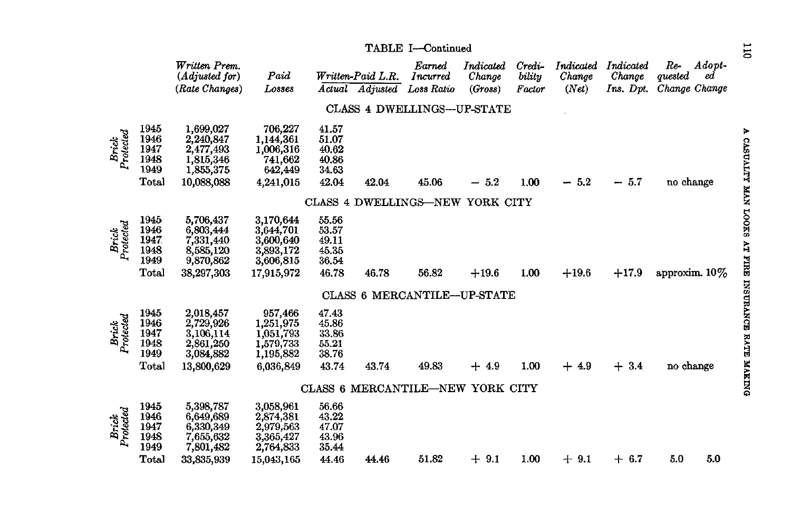|                    |                                                        | Written Prem.<br>(Adjusted for)<br>(Rate Changes)                           | Paid<br>Losses                                                              | Actual                                             | Written-Paid L.R.<br>Adjusted | Earned<br>Incurred<br>Loss Ratio | Indicated<br>Change<br>(Gross) | Credi-<br>bility<br>Factor | Indicated<br>Change<br>(Net) | Indicated<br>Change<br>Ins. Dpt. | $Adopt-$<br>Re-<br>quested<br>еd<br>Change Change |
|--------------------|--------------------------------------------------------|-----------------------------------------------------------------------------|-----------------------------------------------------------------------------|----------------------------------------------------|-------------------------------|----------------------------------|--------------------------------|----------------------------|------------------------------|----------------------------------|---------------------------------------------------|
|                    |                                                        |                                                                             |                                                                             |                                                    |                               | CLASS 4 DWELLINGS--- UP-STATE    |                                |                            |                              |                                  |                                                   |
| Brick<br>Protected | 1945<br>1946<br>1947<br>1948<br>1949<br>Total          | 1,699,027<br>2,240,847<br>2,477,493<br>1,815,346<br>1,855,375<br>10,088,088 | 706,227<br>1,144,361<br>1,006,316<br>741,662<br>642,449<br>4,241,015        | 41.57<br>51.07<br>40.62<br>40.86<br>34.63<br>42.04 | 42.04                         | 45.06                            | $-5.2$                         | 1.00                       | $-5.2$                       | $-5.7$                           | no change                                         |
|                    |                                                        |                                                                             |                                                                             |                                                    |                               | CLASS 4 DWELLINGS-NEW YORK CITY  |                                |                            |                              |                                  |                                                   |
| Brick<br>Protected | 1945<br>1946<br>1947<br>1948<br>1949<br>Total          | 5,706,437<br>6,803,444<br>7,331,440<br>8,585,120<br>9,870,862<br>38,297,303 | 3,170,644<br>3,644,701<br>3,600,640<br>3,893,172<br>3,606,815<br>17,915,972 | 55.56<br>53.57<br>49.11<br>45.35<br>36.54<br>46.78 | 46.78                         | 56.82                            | $+19.6$                        | 1.00                       | $+19.6$                      | $+17.9$                          | approxim. $10\%$                                  |
|                    |                                                        |                                                                             |                                                                             |                                                    |                               | CLASS 6 MERCANTILE-UP-STATE      |                                |                            |                              |                                  |                                                   |
| Brick<br>Protected | 1945<br>1946<br>1947<br>1948<br>1949<br>Total          | 2,018,457<br>2,729,926<br>3,106,114<br>2,861,250<br>3,084,882<br>13,800,629 | 957,466<br>1,251,975<br>1,051,793<br>1,579,733<br>1,195,882<br>6.036.849    | 47.43<br>45.86<br>33.86<br>55.21<br>38.76<br>43.74 | 43.74                         | 49.83                            | $+4.9$                         | 1.00                       | $+4.9$                       | $+3.4$                           | no change                                         |
|                    |                                                        |                                                                             |                                                                             | CLASS <sub>6</sub>                                 |                               | MERCANTILE-NEW YORK CITY         |                                |                            |                              |                                  |                                                   |
| Brick<br>Protected | 1945<br>1946<br>1947<br>1948<br>1949<br>$_{\rm Total}$ | 5,398,787<br>6,649,689<br>6,330,349<br>7,655,632<br>7,801,482<br>33,835,939 | 3,058,961<br>2,874,381<br>2,979,563<br>3,365,427<br>2,764,833<br>15,043,165 | 56.66<br>43.22<br>47.07<br>43.96<br>35.44<br>44.46 | 44.46                         | 51.82                            | $+9.1$                         | 1.00                       | $+9.1$                       | $+$ 6.7                          | 5.0<br>5.0                                        |

TABLE I-Continued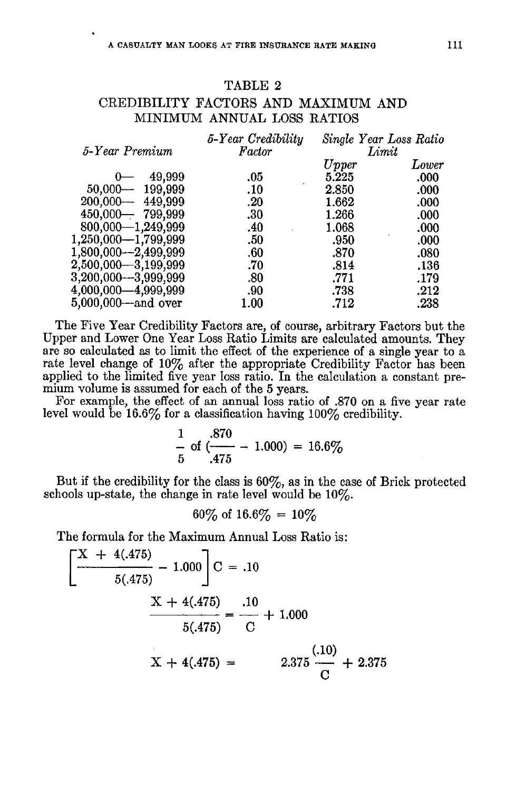## TABLE 2 CREDIBILITY FACTORS AND MAXIMUM AND MINIMUM ANNUAL LOSS RATIOS

| 5-Year Premium          | 5-Year Credibility<br>Factor |       | Single Year Loss Ratio<br>Limit |
|-------------------------|------------------------------|-------|---------------------------------|
|                         |                              | Upper | Lower                           |
| 49,999                  | .05                          | 5.225 | .000                            |
| $50,000-$<br>199,999    | .10                          | 2.850 | .000                            |
| $200,000--$ 449,999     | .20                          | 1.662 | .000                            |
| $450,000 - 799,999$     | .30                          | 1.266 | .000                            |
| 800,000-1,249,999       | .40                          | 1.068 | .000                            |
| $1,250,000 - 1,799,999$ | .50                          | .950  | .000                            |
| 1,800,000—2,499,999     | .60                          | .870  | .080                            |
| 2,500,000---3,199,999   | .70                          | .814  | .136                            |
| 3,200,000—3,999,999     | .80                          | .771  | .179                            |
| 4,000,000—4,999,999     | .90                          | .738  | .212                            |
| 5,000,000—and over      | 1.00                         | .712  | .238                            |
|                         |                              |       |                                 |

The Five Year Credibility Factors are, of course, arbitrary Factors but the Upper and Lower One Year Loss Ratio Limits are calculated amounts. They are so calculated as to limit the effect of the experience of a single year to a rate level change of  $10\%$  after the appropriate Credibility Factor has been applied to the limited five year loss ratio. In the calculation a constant premium volume is assumed for each of the 5 years.

For example, the effect of an annual loss ratio of .870 on a five year rate level would be 16.6% for a classification having  $100\%$  credibility.

$$
\frac{1}{5} \text{ of } \frac{.870}{.475} - 1.000 = 16.6\%
$$

But if the credibility for the class is 60%, as in the case of Brick protected schools up-state, the change in rate level would be 10%.

$$
60\% \text{ of } 16.6\% = 10\%
$$

The formula for the Maximum Annual Loss Ratio is:

$$
\left[\frac{X + 4(.475)}{5(.475)} - 1.000\right]C = .10
$$
  

$$
\frac{X + 4(.475)}{5(.475)} = \frac{.10}{C} + 1.000
$$
  

$$
X + 4(.475) = 2.375 \frac{(.10)}{C} + 2.375
$$